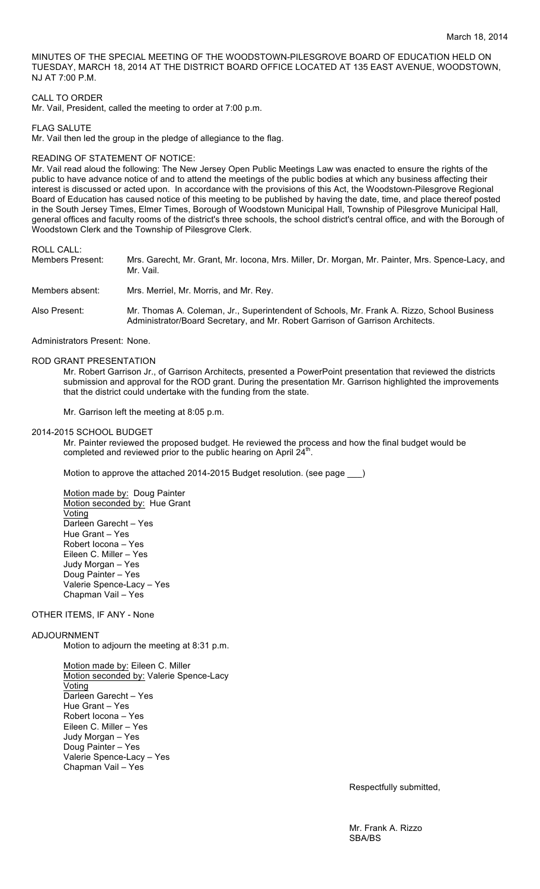MINUTES OF THE SPECIAL MEETING OF THE WOODSTOWN-PILESGROVE BOARD OF EDUCATION HELD ON TUESDAY, MARCH 18, 2014 AT THE DISTRICT BOARD OFFICE LOCATED AT 135 EAST AVENUE, WOODSTOWN, NJ AT 7:00 P.M.

## CALL TO ORDER

Mr. Vail, President, called the meeting to order at 7:00 p.m.

FLAG SALUTE

Mr. Vail then led the group in the pledge of allegiance to the flag.

#### READING OF STATEMENT OF NOTICE:

Mr. Vail read aloud the following: The New Jersey Open Public Meetings Law was enacted to ensure the rights of the public to have advance notice of and to attend the meetings of the public bodies at which any business affecting their interest is discussed or acted upon. In accordance with the provisions of this Act, the Woodstown-Pilesgrove Regional Board of Education has caused notice of this meeting to be published by having the date, time, and place thereof posted in the South Jersey Times, Elmer Times, Borough of Woodstown Municipal Hall, Township of Pilesgrove Municipal Hall, general offices and faculty rooms of the district's three schools, the school district's central office, and with the Borough of Woodstown Clerk and the Township of Pilesgrove Clerk.

ROLL CALL:

Members Present: Mrs. Garecht, Mr. Grant, Mr. Iocona, Mrs. Miller, Dr. Morgan, Mr. Painter, Mrs. Spence-Lacy, and Mr. Vail.

Members absent: Mrs. Merriel, Mr. Morris, and Mr. Rey.

Also Present: Mr. Thomas A. Coleman, Jr., Superintendent of Schools, Mr. Frank A. Rizzo, School Business Administrator/Board Secretary, and Mr. Robert Garrison of Garrison Architects.

Administrators Present: None.

# ROD GRANT PRESENTATION

Mr. Robert Garrison Jr., of Garrison Architects, presented a PowerPoint presentation that reviewed the districts submission and approval for the ROD grant. During the presentation Mr. Garrison highlighted the improvements that the district could undertake with the funding from the state.

Mr. Garrison left the meeting at 8:05 p.m.

#### 2014-2015 SCHOOL BUDGET

Mr. Painter reviewed the proposed budget. He reviewed the process and how the final budget would be completed and reviewed prior to the public hearing on April  $24^{\text{th}}$ .

Motion to approve the attached 2014-2015 Budget resolution. (see page \_\_\_)

Motion made by: Doug Painter Motion seconded by: Hue Grant Voting Darleen Garecht – Yes Hue Grant – Yes Robert Iocona – Yes Eileen C. Miller – Yes Judy Morgan – Yes Doug Painter – Yes Valerie Spence-Lacy – Yes Chapman Vail – Yes

### OTHER ITEMS, IF ANY - None

#### ADJOURNMENT

Motion to adjourn the meeting at 8:31 p.m.

Motion made by: Eileen C. Miller Motion seconded by: Valerie Spence-Lacy **Voting** Darleen Garecht – Yes Hue Grant – Yes Robert Iocona – Yes Eileen C. Miller – Yes Judy Morgan – Yes Doug Painter – Yes Valerie Spence-Lacy – Yes Chapman Vail – Yes

Respectfully submitted,